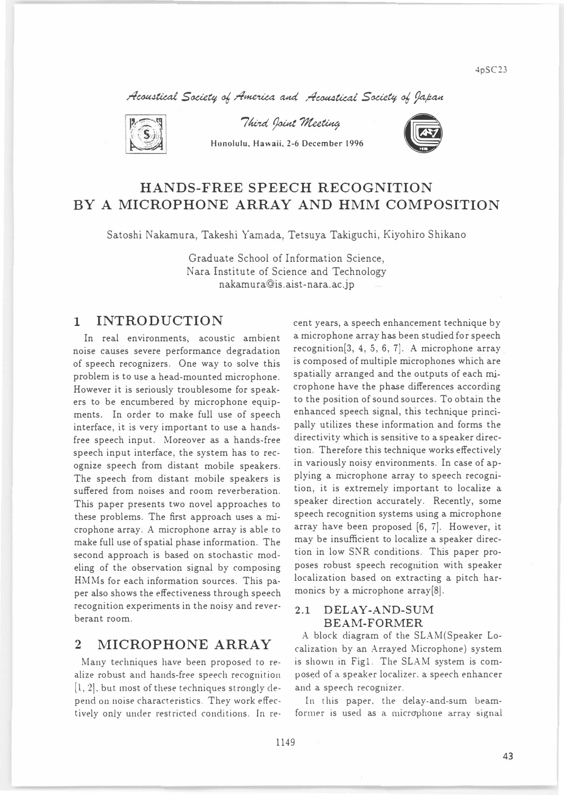Acoustical Society of America and Acoustical Society of Japan



Third Joint Meeting

Honolulu, Hawaii、2-6 December 1996



# HANDS-FREE SPEECH RECOGNITION BY A MICROPHONE ARRAY AND HMM COMPOSITION

Satoshi Nakamura, Takeshi Yamada, Tetsuya Takiguchi, Kiyohiro Shikano

Graduate School of Information Science, Nara Institute of Science and Technology nakamura@is.aist-nara.ac.jp

## 1 INTRODUCTION

In real environments, acoustic ambient noise causes severe performance degradation of speech recognizers. One way to solve this problem is to use a head-mounted microphone. However it is seriously troublesome for speakers to be encumbered by microphone equipments. In order to make full use of speech interface, it is very important to use a handsfree speech input. Moreover as a hands-free speech input interface, the system has to recognize speech from distant mobile speakers. The speech from distant mobile speakers is suffered from noises and room reverberation. This paper presents two novel approaches to these problems. The first approach uses a microphone array. A microphone array is able to make full use of spatial phase information. The second approach is based on stochastic modeling of the observation signal by composing HMMs for each information sources. This paper also shows the effectiveness through speech recognition experiments in the noisy and reverberant room.

# 2 MICROPHONE ARRAY

Many techniques have been proposed to realize robust and hands-free speech recognition  $[1, 2]$ , but most of these techniques strongly depend on noise characteristics. They work effectively only under restricted conditions. In recent years, a speech enhancement technique by a microphone array has been studied for speech recognition[3, 4, 5, 6, 7]. A microphone array is composed of multiple microphones which are spatially arranged and the outputs of each microphone have the phase differences according to the position of sound sources. To obtain the enhanced speech signal, this technique principally utilizes these information and forms the directivity which is sensitive to a speaker direction. Therefore this technique works effectively in variously noisy environments. In case of applying a microphone array to speech recognition, it is extremely important to localize a speaker direction accurately. Recently, some speech recognition systems using a microphone array have been proposed [6, 7]. However, it may be insufficient to localize a speaker direction in low SNR conditions. This paper proposes robust speech recognition with speaker localization based on extracting a pitch harmonics by a microphone array[8].

### 2.1 DELAY-AND-SUM BEA恥1-FORMER

A block diagram of the SLAM(Speaker Localization by an Arrayed Microphone) system is shown in Figl. The SLAM system is composed of a speaker localizer. a speech enhancer and a speech recognizer.

In this paper, the delay-and-sum beamformer is used as a microphone array signal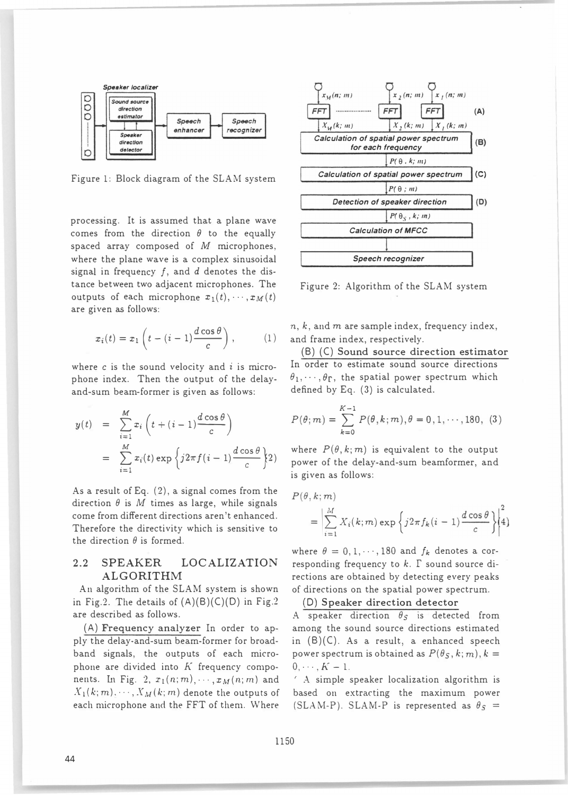

Figure 1: Block diagram of the SLAM system

processing. It is assumed that a plane wave comes from the direction  $\theta$  to the equally spaced array composed of  $M$  microphones, where the plane wave is a complex sinusoidal signal in frequency  $f$ , and  $d$  denotes the distance between two adjacent microphones. The outputs of each microphone  $x_1(t), \dots, x_M(t)$ are given as follows:

$$
x_i(t) = x_1 \left( t - (i - 1) \frac{d \cos \theta}{c} \right), \qquad (1)
$$

where  $c$  is the sound velocity and  $i$  is microphone index. Then the output of the delayand-sum beam-former is given as follows:

$$
y(t) = \sum_{i=1}^{M} x_i \left( t + (i-1) \frac{d \cos \theta}{c} \right)
$$
  
= 
$$
\sum_{i=1}^{M} x_i(t) \exp \left\{ j2\pi f(i-1) \frac{d \cos \theta}{c} \right\} 2
$$

As a result of Eq. (2), a signal comes from the direction  $\theta$  is M times as large, while signals come from different directions aren't enhanced. Therefore the directivity which is sensitive to the direction  $\theta$  is formed.

### 2.2 SPEAKER LOCALIZATION ALGORITHM

An algorithm of the SLAM system is shown in Fig.2. The details of  $(A)(B)(C)(D)$  in Fig.2 are described as follows.

(A) Frequency analyzer In order to apply the delay-and-sum beam-former for broadband signals, the outputs of each microphone are divided into  $K$  frequency components. In Fig. 2,  $x_1(n; m), \dots, x_M(n; m)$  and  $X_1(k;m),\cdots,X_M(k;m)$  denote the outputs of each microphone and the FFT of them. Where



Figure 2: Algorithm of the SLAM system

 $n, k$ , and  $m$  are sample index, frequency index, and frame index, respectively.

(B) (C) Sound source direction estimator In order to estimate sound source directions  $(\theta_1,\dots,\theta_\Gamma)$ , the spatial power spectrum which defined by Eq. (3) is calculated.

$$
P(\theta; m) = \sum_{k=0}^{K-1} P(\theta, k; m), \theta = 0, 1, \dots, 180, (3)
$$
  
where  $P(\theta, k; m)$  is equivalent to the output  
power of the delay and sum becomes and

power of the delay-and-sum beamformer, and is given as follows:

$$
P(\theta, k; m)
$$
  
= 
$$
\left| \sum_{i=1}^{M} X_i(k; m) \exp \left\{ j2\pi f_k(i-1) \frac{d \cos \theta}{c} \right\} \right|_4^2
$$

where  $\theta = 0, 1, \dots, 180$  and  $f_k$  denotes a corresponding frequency to  $k$ .  $\Gamma$  sound source directions are obtained by detecting every peaks of directions on the spatial power spectrum.

### (0) Speaker direction detector

A speaker direction  $\theta_S$  is detected from among the sound source directions estimated in (B)(C). As a result, a enhanced speech power spectrum is obtained as  $P(\theta_S, k; m), k =$  $0, \cdots, K-1.$ 

A simple speaker localization algorithm is based on extracting the maximum power (SLAM-P). SLAM-P is represented as  $\theta_S$  =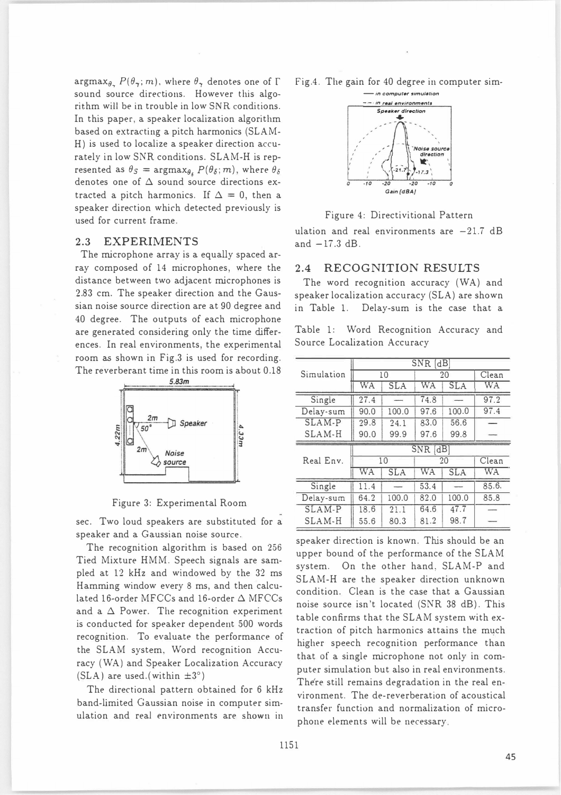$\argmax_{\theta_{\infty}} P(\theta_{\infty}; m)$ , where  $\theta_{\infty}$  denotes one of  $\Gamma$ sound source directions. However this algorithm will be in trouble in low SNR conditions. In this paper, a speaker localization algorithm based on extracting a pitch harmonics (SLAM-H) is used to localize a speaker direction accurately in low SNR conditions. SLAM-H is represented as  $\theta_S = \argmax_{\theta_S} P(\theta_S; m)$ , where  $\theta_{\delta}$ denotes one of  $\Delta$  sound source directions extracted a pitch harmonics. If  $\Delta = 0$ , then a speaker direction which detected previously is used for current frame.

#### **EXPERIMENTS** 2.3

The microphone array is a equally spaced array composed of 14 microphones, where the distance between two adjacent microphones is 2.83 cm. The speaker direction and the Gaussian noise source direction are at 90 degree and 40 degree. The outputs of each microphone are generated considering only the time differences. In real environments, the experimental room as shown in Fig.3 is used for recording. The reverberant time in this room is about 0.18



Figure 3: Experimental Room

sec. Two loud speakers are substituted for a speaker and a Gaussian noise source.

The recognition algorithm is based on 256 Tied Mixture HMM. Speech signals are sampled at 12 kHz and windowed by the 32 ms Hamming window every 8 ms, and then calculated 16-order MFCCs and 16-order  $\Delta$  MFCCs and a  $\Delta$  Power. The recognition experiment is conducted for speaker dependent 500 words recognition. To evaluate the performance of the SLAM system, Word recognition Accuracy (WA) and Speaker Localization Accuracy (SLA) are used. (within  $\pm 3^{\circ}$ )

The directional pattern obtained for 6 kHz band-limited Gaussian noise in computer simulation and real environments are shown in Fig.4. The gain for 40 degree in computer simin computer simulation



Figure 4: Directivitional Pattern

ulation and real environments are  $-21.7$  dB and  $-17.3$  dB.

#### $2.4$ **RECOGNITION RESULTS**

The word recognition accuracy (WA) and speaker localization accuracy (SLA) are shown in Table 1. Delay-sum is the case that a

Table 1: Word Recognition Accuracy and Source Localization Accuracy

|            | $SNR$ $dB$ |            |            |            |           |  |  |  |  |
|------------|------------|------------|------------|------------|-----------|--|--|--|--|
| Simulation |            | 10         | 20         | Clean      |           |  |  |  |  |
|            | WA         | <b>SLA</b> | WA         | <b>SLA</b> | <b>WA</b> |  |  |  |  |
| Single     | 27.4       |            | 74.8       |            | 97.2      |  |  |  |  |
| Delay-sum  | 90.0       | 100.0      | 97.6       | 100.0      | 97.4      |  |  |  |  |
| SLAM-P     | 29.8       | 24.1       | 83.0       | 56.6       |           |  |  |  |  |
| SLAM-H     | 90.0       | 99.9       | 97.6       | 99.8       |           |  |  |  |  |
|            |            |            |            |            |           |  |  |  |  |
|            |            |            | $SNR$ [dB] |            |           |  |  |  |  |
| Real Env.  |            | 10         |            | 20         | Clean     |  |  |  |  |
|            | WA         | <b>SLA</b> | WA         | <b>SLA</b> | <b>WA</b> |  |  |  |  |
| Single     | 11.4       |            | 53.4       |            | 85.6.     |  |  |  |  |
| Delay-sum  | 64.2       | 100.0      | 82.0       | 100.0      | 85.8      |  |  |  |  |
| SLAM-P     | 18.6       | 21.1       | 64.6       | 47.7       |           |  |  |  |  |

speaker direction is known. This should be an upper bound of the performance of the SLAM system. On the other hand, SLAM-P and SLAM-H are the speaker direction unknown condition. Clean is the case that a Gaussian noise source isn't located (SNR 38 dB). This table confirms that the SLAM system with extraction of pitch harmonics attains the much higher speech recognition performance than that of a single microphone not only in computer simulation but also in real environments. There still remains degradation in the real environment. The de-reverberation of acoustical transfer function and normalization of microphone elements will be necessary.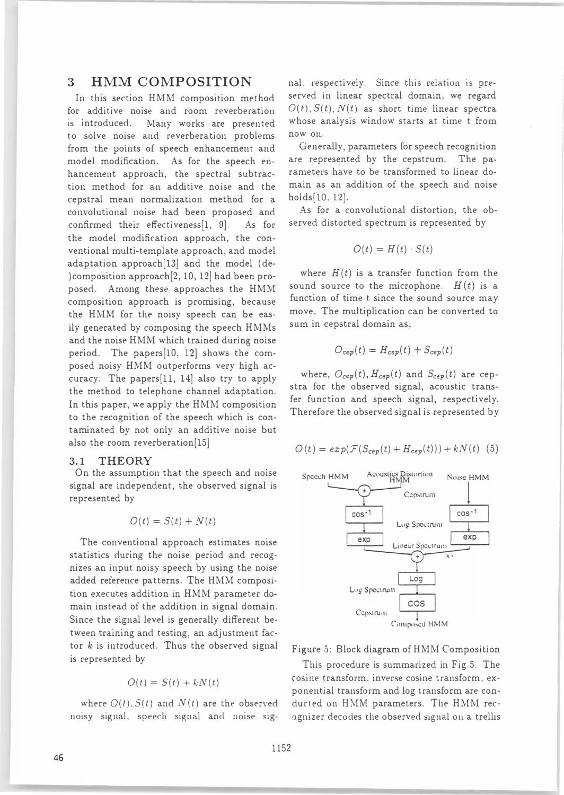# 3 HMM COMPOSITION

In this section HMM composition method for additive noise and room reverberation is introduced. Many works are presented to solve noise and reverberation problems from the points of speech enhancement and model modification. As for the speech enhancement approach, the spectral subtraction method for an additive noise and the cepstral mean normalization method for a convolutional noise had been proposed and confirmed their effectiveness[1, 9]. As for the model modification approach, the conventional multi-template approach, and model adaptation approach[13] and the model (de・ )composition approach[2, 10, 12] had been proposed. Among these approaches the HMM composition approach is promising, because the HMM for the noisy speech can be easily generated by composing the speech HMMs and the noise HMM which trained during noise period. The papers[10, 12] shows the composed noisy HMM outperforms very high accuracy. The papers[ll, 14] also try to apply the method to telephone channel adaptation. In this paper, we apply the HMM composition to the recognition of the speech which is contaminated by not only an additive noise but also the room reverberation[15]

### 3.1 THEORY

On the assumption that the speech and noise signal are independent, the observed signal is represented by

$$
O(t) = S(t) + N(t)
$$

The conventional approach estimates noise statistics during the noise period and recognizes an input noisy speech by using the noise added reference patterns. The HMM composi・ tion executes addition in HMM parameter domain instead of the addition in signal domain. Since the signal level is generally different between training and testing, an adjustment factor  $k$  is introduced. Thus the observed signal is represented by

$$
O(t) = S(t) + kN(t)
$$

where  $O(t)$ ,  $S(t)$  and  $N(t)$  are the observed noisy signal, speech signal and noise signal, respectively. Since this relation is preserved in linear spectral domain, we regard  $O(t)$ ,  $S(t)$ ,  $N(t)$  as short time linear spectra whose analysis window starts at time t from now on.

Generally, parameters for speech recognition are represented by the cepstrum. The parameters have to be transformed to linear domain as an addition of the speech and noise holds[10, 12].

As for a convolutional distortion, the observed distorted spectrum is represented by

$$
O(t) = H(t) \cdot S(t)
$$

where  $H(t)$  is a transfer function from the sound source to the microphone.  $H(t)$  is a function of time t since the sound source may move. The multiplication can be converted to sum in cepstral domain as,

$$
O_{cep}(t) = H_{cep}(t) + S_{cep}(t)
$$

where,  $O_{cep}(t)$ ,  $H_{cep}(t)$  and  $S_{cep}(t)$  are cepstra for the observed signal, acoustic transfer function and speech signal, respectively. Therefore the observed signal is represented by

$$
O(t) = exp(F(S_{cep}(t) + H_{cep}(t))) + kN(t)
$$
 (5)



Figure 5: Block diagram of HMM Composition

This procedure is summarized in Fig.5. The çosille transform. inverse cosine transform, exponential transform and log transform are con・ ducted on HMM parameters. The HMM recognizer decodes the observed signal on a trellis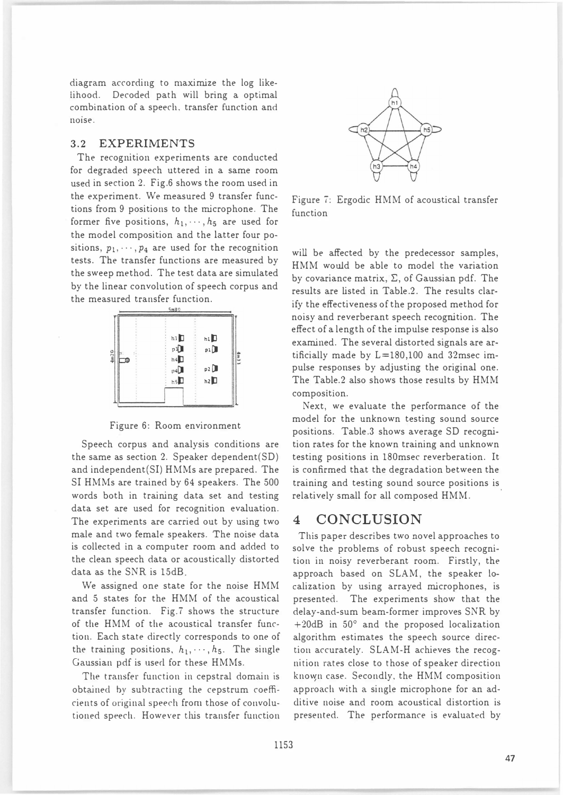diagram according to maximize the log likelihood. Decoded path will bring a optimal combination of a speech, transfer function and noise.

### 3.2 EXPERIMENTS

The recognition experiments are conducted for degraded speech uttered in a same room used in section 2. Fig.6 shows the room used in the experiment. We measured 9 transfer functions from 9 positions to the microphone. The former five positions,  $h_1, \dots, h_5$  are used for the model composition and the latter four positions,  $p_1, \dots, p_4$  are used for the recognition tests. The transfer functions are measured by the sweep method. The test data are simulated by the linear convolution of speech corpus and the measured transfer function.



Figure 6: Room environment

Speech corpus and analysis conditions are the same as section 2. Speaker dependent(SD) and independent(S1) HMMs are prepared. The S1 HMMs are trained by 64 speakers. The 500 words both in training data set and testing data set are used for recognition evaluation. The experiments are carried out by using two male and two female speakers. The noise data is collected in a computer room and added to the clean speech data or acoustically distorted data as the SNR is 15dB

We assigned one state for the noise HMM and 5 states for the HMM of the acoustical transfer function. Fig.7 shows the structure of the HMM of the acoustical transfer function. Each state directly corresponds to one of the training positions,  $h_1, \dots, h_5$ . The single Gaussian pdf is used for these HMMs.

The transfer function in cepstral domain is obtained by subtracting the cepstrum coefficients of original speech from those of convolutioned speech. However this transfer function



Figure 7: Ergodic HMM of acoustical transfer function

wiU be atfected by the predecessor samples, HMM would be able to model the variation by covariance matrix,  $\Sigma$ , of Gaussian pdf. The results are listed in Table.2. The results clarify the effectiveness of the proposed method for noisy and reverberant speech recognition. The effect of a length of the impulse response is also examined. The several distorted signals are artificially made by L=180,100 and 32msec impulse responses by adjusting the original one. The Table.2 also shows those results by HMM composition.

Next, we evaluate the performance of the model for the unknown testing sound source positions. Table.3 shows average SD recognition rates for the known training and unknown testing positions in 180msec reverberation. It is confirmed that the degradation between the training and testing sound source positions is relatively small for all composed HMM.

## 4 CONCLUSION

This paper describes two novel approaches to solve the problems of robust speech recognition in noisy reverberant room. Firstly, the approach based on SLAM, the speaker 10 calization by using arrayed microphones, is presented. The experiments show that the delay-and-sum beam-former improves SNR by  $+20$ dB in 50 $^{\circ}$  and the proposed localization algorithm estimates the speech source direction accurately. SLAM-H achieves the recognition rates close to those of speaker direction known case. Secondly, the HMM composition approach with a single microphone for an adclitive noise and room acoustical distortion is presented. The performance is evaluated by